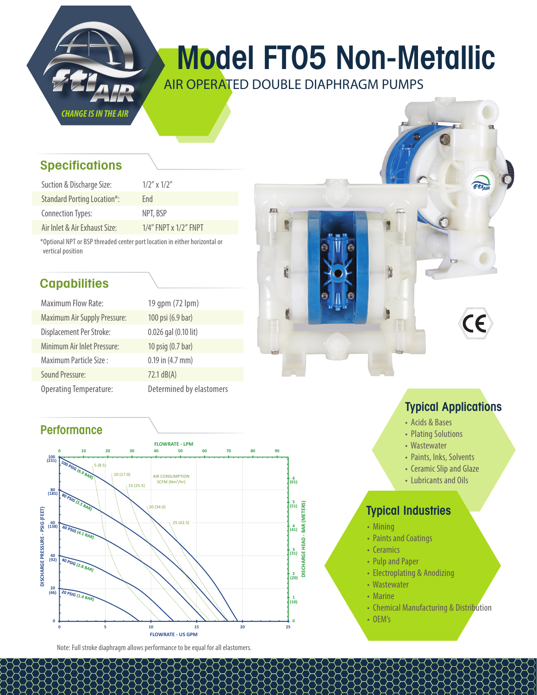

# Model FT05 Non-Metallic

AIR OPERATED DOUBLE DIAPHRAGM PUMPS

麻

## **Specifications**

| Suction & Discharge Size:          | $1/2''$ x $1/2''$           |
|------------------------------------|-----------------------------|
| <b>Standard Porting Location*:</b> | Fnd                         |
| Connection Types:                  | NPT, BSP                    |
| Air Inlet & Air Exhaust Size:      | $1/4$ " FNPT x $1/2$ " FNPT |

\*Optional NPT or BSP threaded center port location in either horizontal or vertical position

## **Capabilities**

| <b>Maximum Flow Rate:</b>           | 19 qpm (72 lpm)          |
|-------------------------------------|--------------------------|
| <b>Maximum Air Supply Pressure:</b> | 100 psi (6.9 bar)        |
| Displacement Per Stroke:            | 0.026 gal (0.10 lit)     |
| Minimum Air Inlet Pressure:         | 10 psig (0.7 bar)        |
| Maximum Particle Size:              | $0.19$ in $(4.7$ mm)     |
| Sound Pressure:                     | $72.1$ dB(A)             |
| <b>Operating Temperature:</b>       | Determined by elastomers |

## **Performance**



Note: Full stroke diaphragm allows performance to be equal for all elastomers.

## Typical Applications

- Acids & Bases
- Plating Solutions
- Wastewater
- Paints, Inks, Solvents
- Ceramic Slip and Glaze
- Lubricants and Oils

## Typical Industries

- Mining
- Paints and Coatings
- Ceramics
- Pulp and Paper
- Electroplating & Anodizing
- Wastewater
- Marine
- Chemical Manufacturing & Distribution
- OEM's